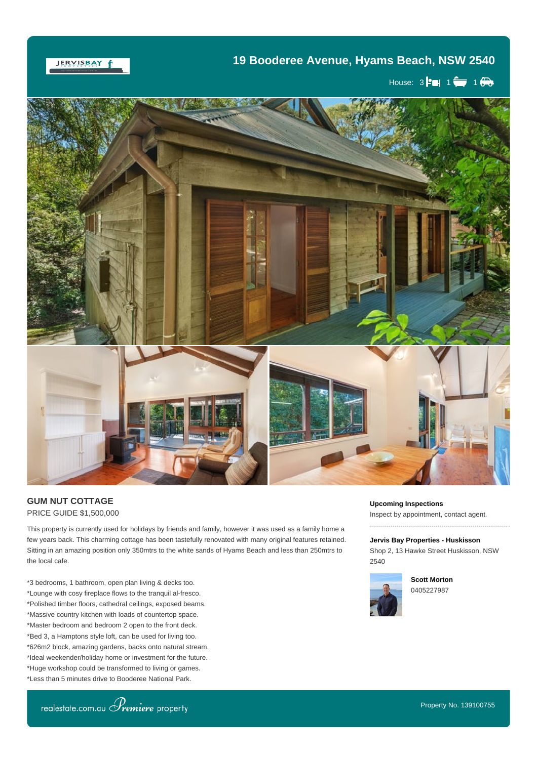## **19 Booderee Avenue, Hyams Beach, NSW 2540**

JERVISBAY f

House:  $3$   $\bullet$  1  $\bullet$  1  $\bullet$ 



## **GUM NUT COTTAGE** PRICE GUIDE \$1,500,000

This property is currently used for holidays by friends and family, however it was used as a family home a few years back. This charming cottage has been tastefully renovated with many original features retained. Sitting in an amazing position only 350mtrs to the white sands of Hyams Beach and less than 250mtrs to the local cafe.

away from the city life, so when a character filled beach cottage becomes available, you better get moving.

\*3 bedrooms, 1 bathroom, open plan living & decks too. \*Lounge with cosy fireplace flows to the tranquil al-fresco. \*Polished timber floors, cathedral ceilings, exposed beams. \*Massive country kitchen with loads of countertop space. \*Master bedroom and bedroom 2 open to the front deck. \*Bed 3, a Hamptons style loft, can be used for living too. \*626m2 block, amazing gardens, backs onto natural stream. \*Ideal weekender/holiday home or investment for the future. \*Huge workshop could be transformed to living or games. \*Less than 5 minutes drive to Booderee National Park.

**Upcoming Inspections** Inspect by appointment, contact agent.

**Jervis Bay Properties - Huskisson** Shop 2, 13 Hawke Street Huskisson, NSW 2540



**Scott Morton** 0405227987



\*Approx. 10 minutes to your choice of cafes & restaurants.